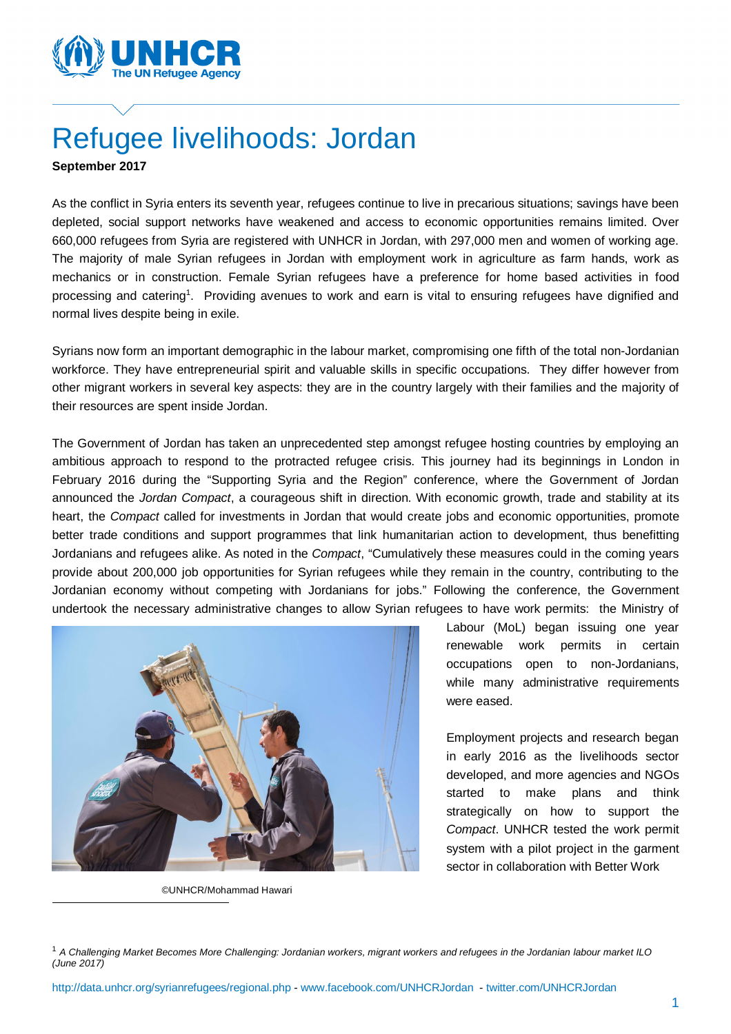

# Refugee livelihoods: Jordan

**September 2017**

As the conflict in Syria enters its seventh year, refugees continue to live in precarious situations; savings have been depleted, social support networks have weakened and access to economic opportunities remains limited. Over 660,000 refugees from Syria are registered with UNHCR in Jordan, with 297,000 men and women of working age. The majority of male Syrian refugees in Jordan with employment work in agriculture as farm hands, work as mechanics or in construction. Female Syrian refugees have a preference for home based activities in food processing and catering<sup>1</sup>. Providing avenues to work and earn is vital to ensuring refugees have dignified and normal lives despite being in exile.

Syrians now form an important demographic in the labour market, compromising one fifth of the total non-Jordanian workforce. They have entrepreneurial spirit and valuable skills in specific occupations. They differ however from other migrant workers in several key aspects: they are in the country largely with their families and the majority of their resources are spent inside Jordan.

The Government of Jordan has taken an unprecedented step amongst refugee hosting countries by employing an ambitious approach to respond to the protracted refugee crisis. This journey had its beginnings in London in February 2016 during the "Supporting Syria and the Region" conference, where the Government of Jordan announced the *Jordan Compact*, a courageous shift in direction. With economic growth, trade and stability at its heart, the *Compact* called for investments in Jordan that would create jobs and economic opportunities, promote better trade conditions and support programmes that link humanitarian action to development, thus benefitting Jordanians and refugees alike. As noted in the *Compact*, "Cumulatively these measures could in the coming years provide about 200,000 job opportunities for Syrian refugees while they remain in the country, contributing to the Jordanian economy without competing with Jordanians for jobs." Following the conference, the Government undertook the necessary administrative changes to allow Syrian refugees to have work permits: the Ministry of



©UNHCR/Mohammad Hawari

 $\overline{a}$ 

Labour (MoL) began issuing one year renewable work permits in certain occupations open to non-Jordanians, while many administrative requirements were eased.

Employment projects and research began in early 2016 as the livelihoods sector developed, and more agencies and NGOs started to make plans and think strategically on how to support the *Compact*. UNHCR tested the work permit system with a pilot project in the garment sector in collaboration with Better Work

<sup>1</sup> *A Challenging Market Becomes More Challenging: Jordanian workers, migrant workers and refugees in the Jordanian labour market ILO (June 2017)*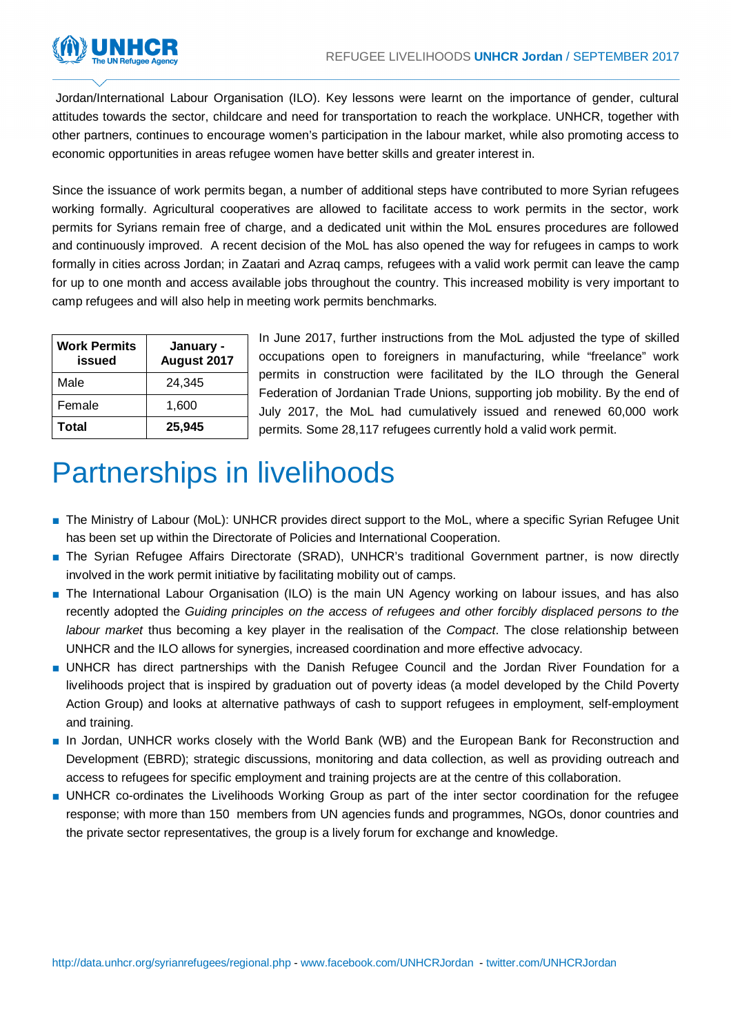

Jordan/International Labour Organisation (ILO). Key lessons were learnt on the importance of gender, cultural attitudes towards the sector, childcare and need for transportation to reach the workplace. UNHCR, together with other partners, continues to encourage women's participation in the labour market, while also promoting access to economic opportunities in areas refugee women have better skills and greater interest in.

Since the issuance of work permits began, a number of additional steps have contributed to more Syrian refugees working formally. Agricultural cooperatives are allowed to facilitate access to work permits in the sector, work permits for Syrians remain free of charge, and a dedicated unit within the MoL ensures procedures are followed and continuously improved. A recent decision of the MoL has also opened the way for refugees in camps to work formally in cities across Jordan; in Zaatari and Azraq camps, refugees with a valid work permit can leave the camp for up to one month and access available jobs throughout the country. This increased mobility is very important to camp refugees and will also help in meeting work permits benchmarks.

| <b>Work Permits</b><br>issued | January -<br>August 2017 |
|-------------------------------|--------------------------|
| Male                          | 24,345                   |
| Female                        | 1,600                    |
| Total                         | 25,945                   |

In June 2017, further instructions from the MoL adjusted the type of skilled occupations open to foreigners in manufacturing, while "freelance" work permits in construction were facilitated by the ILO through the General Federation of Jordanian Trade Unions, supporting job mobility. By the end of July 2017, the MoL had cumulatively issued and renewed 60,000 work permits. Some 28,117 refugees currently hold a valid work permit.

## Partnerships in livelihoods

- The Ministry of Labour (MoL): UNHCR provides direct support to the MoL, where a specific Syrian Refugee Unit has been set up within the Directorate of Policies and International Cooperation.
- The Syrian Refugee Affairs Directorate (SRAD), UNHCR's traditional Government partner, is now directly involved in the work permit initiative by facilitating mobility out of camps.
- The International Labour Organisation (ILO) is the main UN Agency working on labour issues, and has also recently adopted the *Guiding principles on the access of refugees and other forcibly displaced persons to the labour market* thus becoming a key player in the realisation of the *Compact*. The close relationship between UNHCR and the ILO allows for synergies, increased coordination and more effective advocacy.
- UNHCR has direct partnerships with the Danish Refugee Council and the Jordan River Foundation for a livelihoods project that is inspired by graduation out of poverty ideas (a model developed by the Child Poverty Action Group) and looks at alternative pathways of cash to support refugees in employment, self-employment and training.
- In Jordan, UNHCR works closely with the World Bank (WB) and the European Bank for Reconstruction and Development (EBRD); strategic discussions, monitoring and data collection, as well as providing outreach and access to refugees for specific employment and training projects are at the centre of this collaboration.
- UNHCR co-ordinates the Livelihoods Working Group as part of the inter sector coordination for the refugee response; with more than 150 members from UN agencies funds and programmes, NGOs, donor countries and the private sector representatives, the group is a lively forum for exchange and knowledge.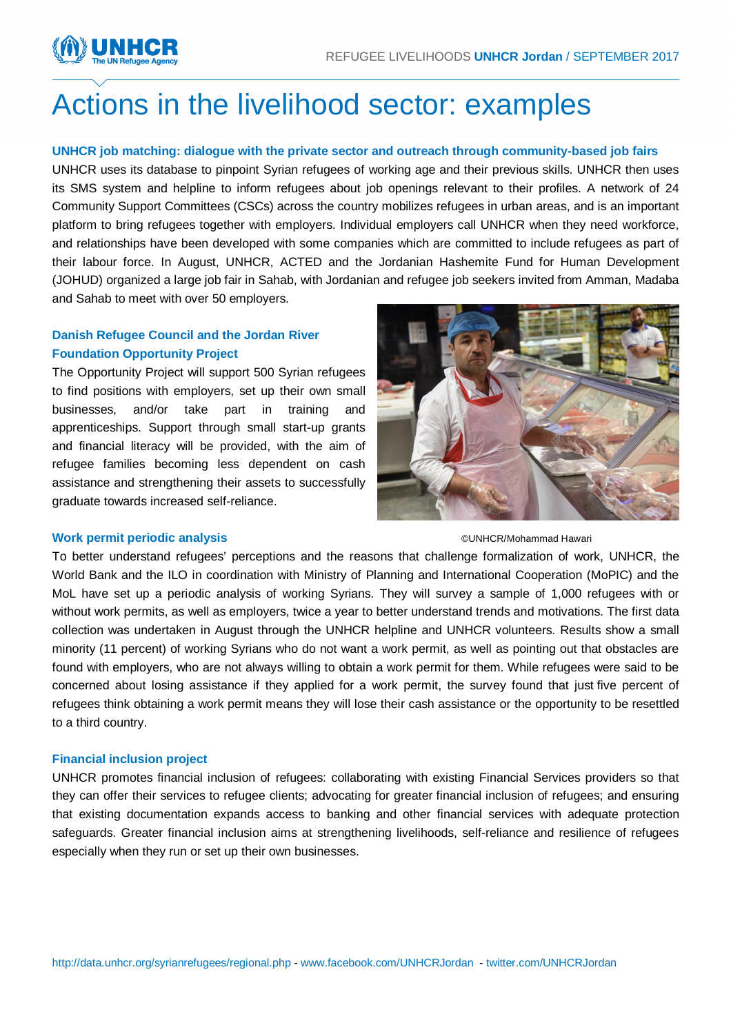

## Actions in the livelihood sector: examples

## **UNHCR job matching: dialogue with the private sector and outreach through community-based job fairs**

UNHCR uses its database to pinpoint Syrian refugees of working age and their previous skills. UNHCR then uses its SMS system and helpline to inform refugees about job openings relevant to their profiles. A network of 24 Community Support Committees (CSCs) across the country mobilizes refugees in urban areas, and is an important platform to bring refugees together with employers. Individual employers call UNHCR when they need workforce, and relationships have been developed with some companies which are committed to include refugees as part of their labour force. In August, UNHCR, ACTED and the Jordanian Hashemite Fund for Human Development (JOHUD) organized a large job fair in Sahab, with Jordanian and refugee job seekers invited from Amman, Madaba and Sahab to meet with over 50 employers.

## **Danish Refugee Council and the Jordan River Foundation Opportunity Project**

The Opportunity Project will support 500 Syrian refugees to find positions with employers, set up their own small businesses, and/or take part in training and apprenticeships. Support through small start-up grants and financial literacy will be provided, with the aim of refugee families becoming less dependent on cash assistance and strengthening their assets to successfully graduate towards increased self-reliance.



### **Work permit periodic analysis**

#### ©UNHCR/Mohammad Hawari

To better understand refugees' perceptions and the reasons that challenge formalization of work, UNHCR, the World Bank and the ILO in coordination with Ministry of Planning and International Cooperation (MoPIC) and the MoL have set up a periodic analysis of working Syrians. They will survey a sample of 1,000 refugees with or without work permits, as well as employers, twice a year to better understand trends and motivations. The first data collection was undertaken in August through the UNHCR helpline and UNHCR volunteers. Results show a small minority (11 percent) of working Syrians who do not want a work permit, as well as pointing out that obstacles are found with employers, who are not always willing to obtain a work permit for them. While refugees were said to be concerned about losing assistance if they applied for a work permit, the survey found that just five percent of refugees think obtaining a work permit means they will lose their cash assistance or the opportunity to be resettled to a third country.

## **Financial inclusion project**

UNHCR promotes financial inclusion of refugees: collaborating with existing Financial Services providers so that they can offer their services to refugee clients; advocating for greater financial inclusion of refugees; and ensuring that existing documentation expands access to banking and other financial services with adequate protection safeguards. Greater financial inclusion aims at strengthening livelihoods, self-reliance and resilience of refugees especially when they run or set up their own businesses.